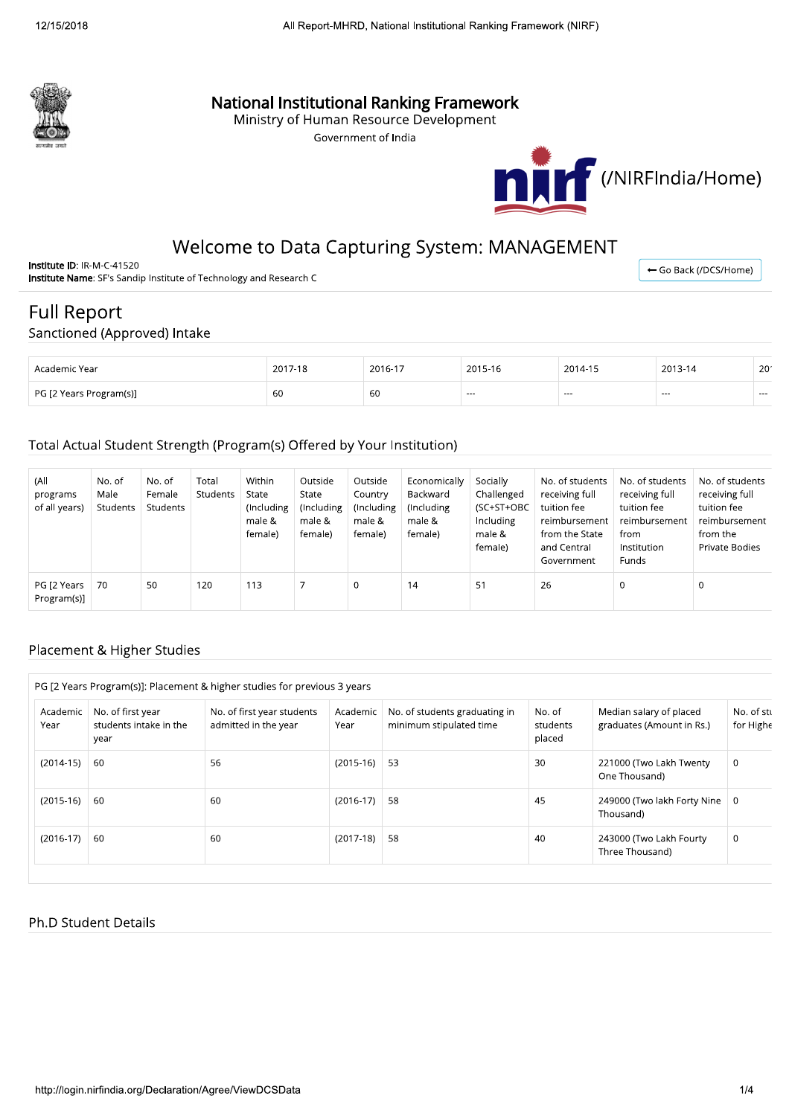

### **National Institutional Ranking Framework**

Ministry of Human Resource Development

Government of India



## Welcome to Data Capturing System: MANAGEMENT

Institute ID: IR-M-C-41520 Institute Name: SF's Sandip Institute of Technology and Research C

← Go Back (/DCS/Home)

# **Full Report**

Sanctioned (Approved) Intake

| Academic Year           | 2017-18 | 2016-17 | $2015.45$<br>¬-⊥<br>∠∪ | 2014-15  | 2013-14 | 20 <sup>°</sup> |
|-------------------------|---------|---------|------------------------|----------|---------|-----------------|
| PG [2 Years Program(s)] | 60      | 6C      | $--$                   | $\cdots$ | $--$    | $---$           |

#### Total Actual Student Strength (Program(s) Offered by Your Institution)

| (All<br>programs<br>of all years) | No. of<br>Male<br>Students | No. of<br>Female<br>Students | Total<br>Students | Within<br>State<br>(Including<br>male &<br>female) | Outside<br>State<br>(Including<br>male &<br>female) | Outside<br>Country<br>(Including<br>male &<br>female) | Economically<br>Backward<br>(Including<br>male &<br>female) | Socially<br>Challenged<br>(SC+ST+OBC<br>Including<br>male &<br>female) | No. of students<br>receiving full<br>tuition fee<br>reimbursement<br>from the State<br>and Central<br>Government | No. of students<br>receiving full<br>tuition fee<br>reimbursement<br>from<br>Institution<br>Funds | No. of students<br>receiving full<br>tuition fee<br>reimbursement<br>from the<br>Private Bodies |
|-----------------------------------|----------------------------|------------------------------|-------------------|----------------------------------------------------|-----------------------------------------------------|-------------------------------------------------------|-------------------------------------------------------------|------------------------------------------------------------------------|------------------------------------------------------------------------------------------------------------------|---------------------------------------------------------------------------------------------------|-------------------------------------------------------------------------------------------------|
| PG [2 Years<br>Program(s)]        | 70                         | 50                           | 120               | 113                                                |                                                     | $\Omega$                                              | 14                                                          | 51                                                                     | 26                                                                                                               | $\mathbf 0$                                                                                       | 0                                                                                               |

#### Placement & Higher Studies

|                  |                                                     | PG [2 Years Program(s)]: Placement & higher studies for previous 3 years |                  |                                                          |                              |                                                      |                         |
|------------------|-----------------------------------------------------|--------------------------------------------------------------------------|------------------|----------------------------------------------------------|------------------------------|------------------------------------------------------|-------------------------|
| Academic<br>Year | No. of first year<br>students intake in the<br>year | No. of first year students<br>admitted in the year                       | Academic<br>Year | No. of students graduating in<br>minimum stipulated time | No. of<br>students<br>placed | Median salary of placed<br>graduates (Amount in Rs.) | No. of stu<br>for Highe |
| $(2014-15)$      | 60                                                  | 56                                                                       | $(2015-16)$      | 53                                                       | 30                           | 221000 (Two Lakh Twenty<br>One Thousand)             | 0                       |
| $(2015-16)$      | 60                                                  | 60                                                                       | $(2016-17)$      | 58                                                       | 45                           | 249000 (Two lakh Forty Nine<br>Thousand)             | - 0                     |
| $(2016-17)$      | 60                                                  | 60                                                                       | $(2017-18)$      | 58                                                       | 40                           | 243000 (Two Lakh Fourty<br>Three Thousand)           | $\Omega$                |

#### **Ph.D Student Details**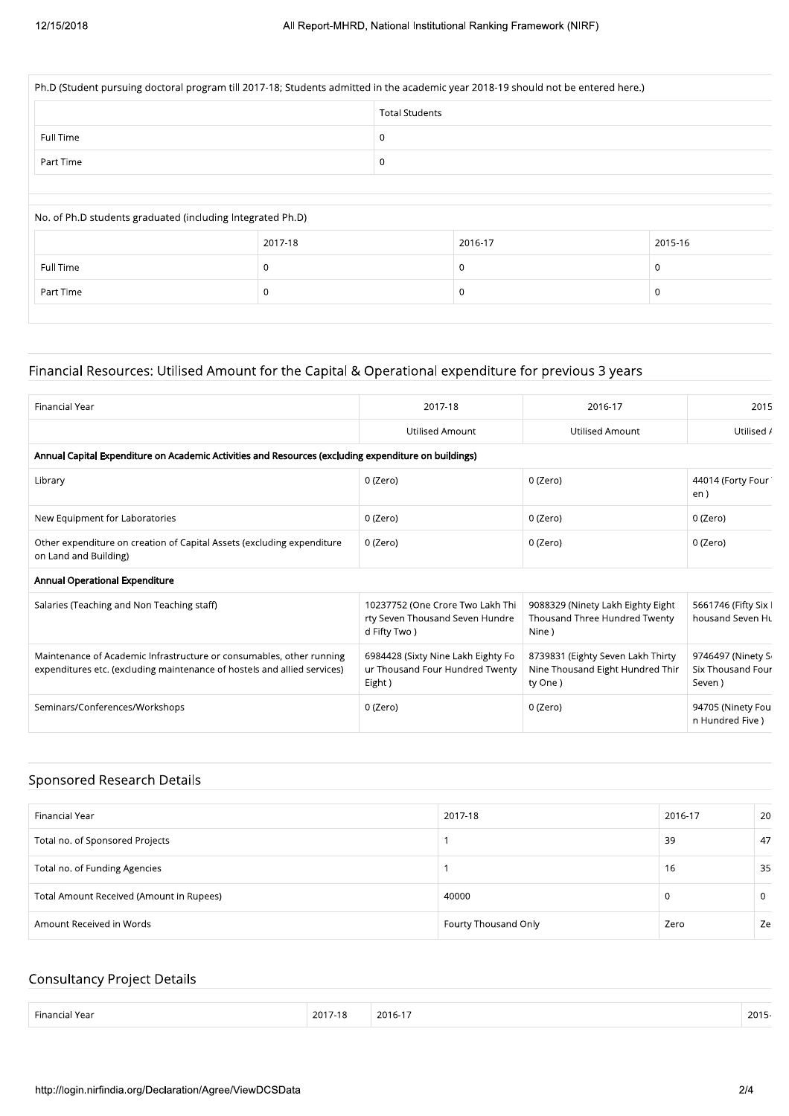|           | Ph.D (Student pursuing doctoral program till 2017-18; Students admitted in the academic year 2018-19 should not be entered here.) |                       |              |         |  |  |
|-----------|-----------------------------------------------------------------------------------------------------------------------------------|-----------------------|--------------|---------|--|--|
|           |                                                                                                                                   | <b>Total Students</b> |              |         |  |  |
| Full Time |                                                                                                                                   | $\mathbf 0$           |              |         |  |  |
| Part Time |                                                                                                                                   | 0                     |              |         |  |  |
|           |                                                                                                                                   |                       |              |         |  |  |
|           | No. of Ph.D students graduated (including Integrated Ph.D)                                                                        |                       |              |         |  |  |
|           | 2017-18                                                                                                                           |                       | 2016-17      | 2015-16 |  |  |
| Full Time | $\Omega$                                                                                                                          |                       | $\mathbf{0}$ | 0       |  |  |
|           |                                                                                                                                   |                       |              |         |  |  |

#### Financial Resources: Utilised Amount for the Capital & Operational expenditure for previous 3 years

| Financial Year                                                                                                                                   | 2017-18                                                                             | 2016-17                                                                          | 2015                                             |
|--------------------------------------------------------------------------------------------------------------------------------------------------|-------------------------------------------------------------------------------------|----------------------------------------------------------------------------------|--------------------------------------------------|
|                                                                                                                                                  | Utilised Amount                                                                     | Utilised Amount                                                                  | Utilised /                                       |
| Annual Capital Expenditure on Academic Activities and Resources (excluding expenditure on buildings)                                             |                                                                                     |                                                                                  |                                                  |
| Library                                                                                                                                          | 0 (Zero)                                                                            | 0 (Zero)                                                                         | 44014 (Forty Four<br>en)                         |
| New Equipment for Laboratories                                                                                                                   | 0 (Zero)                                                                            | 0 (Zero)                                                                         | 0 (Zero)                                         |
| Other expenditure on creation of Capital Assets (excluding expenditure<br>on Land and Building)                                                  | 0 (Zero)                                                                            | 0 (Zero)                                                                         | 0 (Zero)                                         |
| Annual Operational Expenditure                                                                                                                   |                                                                                     |                                                                                  |                                                  |
| Salaries (Teaching and Non Teaching staff)                                                                                                       | 10237752 (One Crore Two Lakh Thi<br>rty Seven Thousand Seven Hundre<br>d Fifty Two) | 9088329 (Ninety Lakh Eighty Eight<br>Thousand Three Hundred Twenty<br>Nine)      | 5661746 (Fifty Six I<br>housand Seven Hu         |
| Maintenance of Academic Infrastructure or consumables, other running<br>expenditures etc. (excluding maintenance of hostels and allied services) | 6984428 (Sixty Nine Lakh Eighty Fo<br>ur Thousand Four Hundred Twenty<br>Eight)     | 8739831 (Eighty Seven Lakh Thirty<br>Nine Thousand Eight Hundred Thir<br>ty One) | 9746497 (Ninety S<br>Six Thousand Four<br>Seven) |
| Seminars/Conferences/Workshops                                                                                                                   | 0 (Zero)                                                                            | 0 (Zero)                                                                         | 94705 (Ninety Fou<br>n Hundred Five)             |

#### Sponsored Research Details

| Financial Year                           | 2017-18              | 2016-17 | 20       |
|------------------------------------------|----------------------|---------|----------|
| Total no. of Sponsored Projects          |                      | 39      | 47       |
| Total no. of Funding Agencies            |                      | 16      | 35       |
| Total Amount Received (Amount in Rupees) | 40000                | 0       | $\Omega$ |
| Amount Received in Words                 | Fourty Thousand Only | Zero    | Ze       |

#### Consultancy Project Details

| Financial Year                                           | 2017-18 | 2016-17 | 2015- |
|----------------------------------------------------------|---------|---------|-------|
|                                                          |         |         |       |
|                                                          |         |         |       |
|                                                          |         |         |       |
| http://login.nirfindia.org/Declaration/Agree/ViewDCSData |         |         | 2/4   |
|                                                          |         |         |       |
|                                                          |         |         |       |
|                                                          |         |         |       |
|                                                          |         |         |       |
|                                                          |         |         |       |